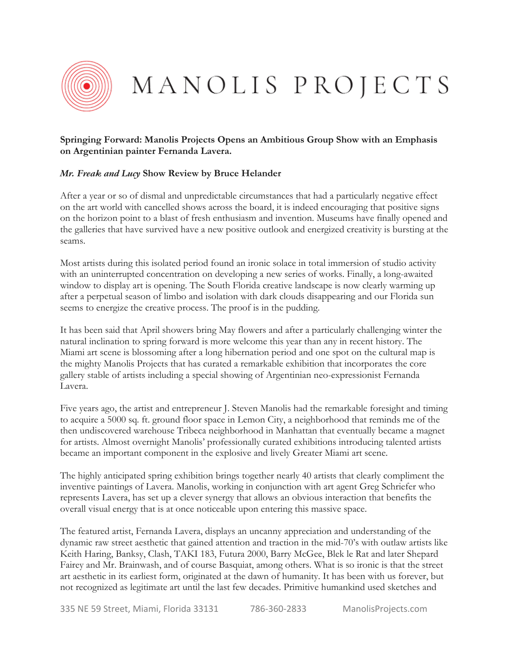

MANOLIS PROJECTS

## **Springing Forward: Manolis Projects Opens an Ambitious Group Show with an Emphasis on Argentinian painter Fernanda Lavera.**

## *Mr. Freak and Lucy* **Show Review by Bruce Helander**

After a year or so of dismal and unpredictable circumstances that had a particularly negative effect on the art world with cancelled shows across the board, it is indeed encouraging that positive signs on the horizon point to a blast of fresh enthusiasm and invention. Museums have finally opened and the galleries that have survived have a new positive outlook and energized creativity is bursting at the seams.

Most artists during this isolated period found an ironic solace in total immersion of studio activity with an uninterrupted concentration on developing a new series of works. Finally, a long-awaited window to display art is opening. The South Florida creative landscape is now clearly warming up after a perpetual season of limbo and isolation with dark clouds disappearing and our Florida sun seems to energize the creative process. The proof is in the pudding.

It has been said that April showers bring May flowers and after a particularly challenging winter the natural inclination to spring forward is more welcome this year than any in recent history. The Miami art scene is blossoming after a long hibernation period and one spot on the cultural map is the mighty Manolis Projects that has curated a remarkable exhibition that incorporates the core gallery stable of artists including a special showing of Argentinian neo-expressionist Fernanda Lavera.

Five years ago, the artist and entrepreneur J. Steven Manolis had the remarkable foresight and timing to acquire a 5000 sq. ft. ground floor space in Lemon City, a neighborhood that reminds me of the then undiscovered warehouse Tribeca neighborhood in Manhattan that eventually became a magnet for artists. Almost overnight Manolis' professionally curated exhibitions introducing talented artists became an important component in the explosive and lively Greater Miami art scene.

The highly anticipated spring exhibition brings together nearly 40 artists that clearly compliment the inventive paintings of Lavera. Manolis, working in conjunction with art agent Greg Schriefer who represents Lavera, has set up a clever synergy that allows an obvious interaction that benefits the overall visual energy that is at once noticeable upon entering this massive space.

The featured artist, Fernanda Lavera, displays an uncanny appreciation and understanding of the dynamic raw street aesthetic that gained attention and traction in the mid-70's with outlaw artists like Keith Haring, Banksy, Clash, TAKI 183, Futura 2000, Barry McGee, Blek le Rat and later Shepard Fairey and Mr. Brainwash, and of course Basquiat, among others. What is so ironic is that the street art aesthetic in its earliest form, originated at the dawn of humanity. It has been with us forever, but not recognized as legitimate art until the last few decades. Primitive humankind used sketches and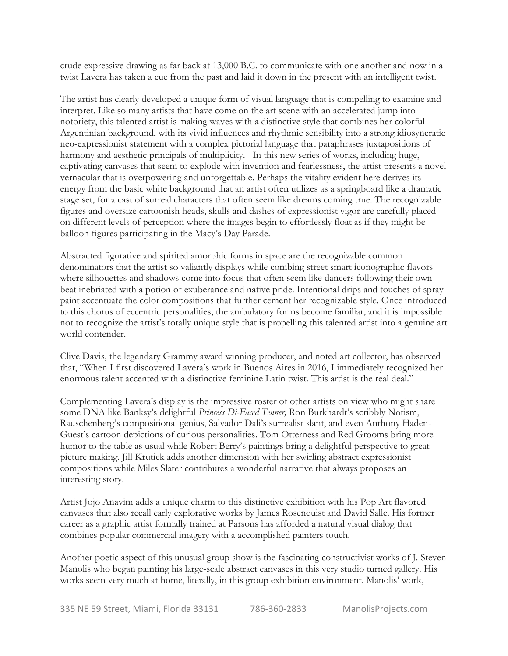crude expressive drawing as far back at 13,000 B.C. to communicate with one another and now in a twist Lavera has taken a cue from the past and laid it down in the present with an intelligent twist.

The artist has clearly developed a unique form of visual language that is compelling to examine and interpret. Like so many artists that have come on the art scene with an accelerated jump into notoriety, this talented artist is making waves with a distinctive style that combines her colorful Argentinian background, with its vivid influences and rhythmic sensibility into a strong idiosyncratic neo-expressionist statement with a complex pictorial language that paraphrases juxtapositions of harmony and aesthetic principals of multiplicity. In this new series of works, including huge, captivating canvases that seem to explode with invention and fearlessness, the artist presents a novel vernacular that is overpowering and unforgettable. Perhaps the vitality evident here derives its energy from the basic white background that an artist often utilizes as a springboard like a dramatic stage set, for a cast of surreal characters that often seem like dreams coming true. The recognizable figures and oversize cartoonish heads, skulls and dashes of expressionist vigor are carefully placed on different levels of perception where the images begin to effortlessly float as if they might be balloon figures participating in the Macy's Day Parade.

Abstracted figurative and spirited amorphic forms in space are the recognizable common denominators that the artist so valiantly displays while combing street smart iconographic flavors where silhouettes and shadows come into focus that often seem like dancers following their own beat inebriated with a potion of exuberance and native pride. Intentional drips and touches of spray paint accentuate the color compositions that further cement her recognizable style. Once introduced to this chorus of eccentric personalities, the ambulatory forms become familiar, and it is impossible not to recognize the artist's totally unique style that is propelling this talented artist into a genuine art world contender.

Clive Davis, the legendary Grammy award winning producer, and noted art collector, has observed that, "When I first discovered Lavera's work in Buenos Aires in 2016, I immediately recognized her enormous talent accented with a distinctive feminine Latin twist. This artist is the real deal."

Complementing Lavera's display is the impressive roster of other artists on view who might share some DNA like Banksy's delightful *Princess Di-Faced Tenner,* Ron Burkhardt's scribbly Notism, Rauschenberg's compositional genius, Salvador Dali's surrealist slant, and even Anthony Haden-Guest's cartoon depictions of curious personalities. Tom Otterness and Red Grooms bring more humor to the table as usual while Robert Berry's paintings bring a delightful perspective to great picture making. Jill Krutick adds another dimension with her swirling abstract expressionist compositions while Miles Slater contributes a wonderful narrative that always proposes an interesting story.

Artist Jojo Anavim adds a unique charm to this distinctive exhibition with his Pop Art flavored canvases that also recall early explorative works by James Rosenquist and David Salle. His former career as a graphic artist formally trained at Parsons has afforded a natural visual dialog that combines popular commercial imagery with a accomplished painters touch.

Another poetic aspect of this unusual group show is the fascinating constructivist works of J. Steven Manolis who began painting his large-scale abstract canvases in this very studio turned gallery. His works seem very much at home, literally, in this group exhibition environment. Manolis' work,